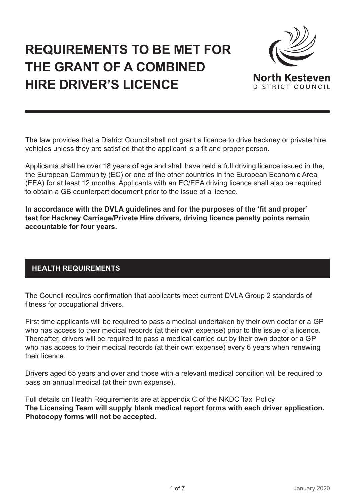# **REQUIREMENTS TO BE MET FOR THE GRANT OF A COMBINED HIRE DRIVER'S LICENCE**



The law provides that a District Council shall not grant a licence to drive hackney or private hire vehicles unless they are satisfied that the applicant is a fit and proper person.

Applicants shall be over 18 years of age and shall have held a full driving licence issued in the, the European Community (EC) or one of the other countries in the European Economic Area (EEA) for at least 12 months. Applicants with an EC/EEA driving licence shall also be required to obtain a GB counterpart document prior to the issue of a licence.

**In accordance with the DVLA guidelines and for the purposes of the 'fit and proper' test for Hackney Carriage/Private Hire drivers, driving licence penalty points remain accountable for four years.**

# **HEALTH REQUIREMENTS**

The Council requires confirmation that applicants meet current DVLA Group 2 standards of fitness for occupational drivers.

First time applicants will be required to pass a medical undertaken by their own doctor or a GP who has access to their medical records (at their own expense) prior to the issue of a licence. Thereafter, drivers will be required to pass a medical carried out by their own doctor or a GP who has access to their medical records (at their own expense) every 6 years when renewing their licence.

Drivers aged 65 years and over and those with a relevant medical condition will be required to pass an annual medical (at their own expense).

Full details on Health Requirements are at appendix C of the NKDC Taxi Policy **The Licensing Team will supply blank medical report forms with each driver application. Photocopy forms will not be accepted.**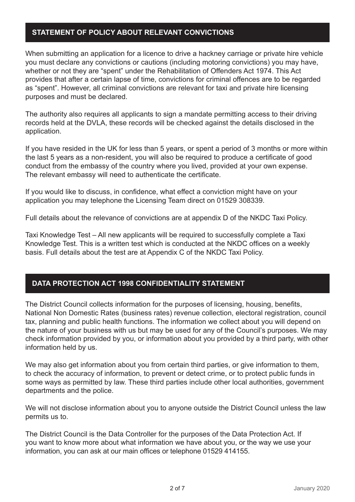#### **STATEMENT OF POLICY ABOUT RELEVANT CONVICTIONS**

When submitting an application for a licence to drive a hackney carriage or private hire vehicle you must declare any convictions or cautions (including motoring convictions) you may have, whether or not they are "spent" under the Rehabilitation of Offenders Act 1974. This Act provides that after a certain lapse of time, convictions for criminal offences are to be regarded as "spent". However, all criminal convictions are relevant for taxi and private hire licensing purposes and must be declared.

The authority also requires all applicants to sign a mandate permitting access to their driving records held at the DVLA, these records will be checked against the details disclosed in the application.

If you have resided in the UK for less than 5 years, or spent a period of 3 months or more within the last 5 years as a non-resident, you will also be required to produce a certificate of good conduct from the embassy of the country where you lived, provided at your own expense. The relevant embassy will need to authenticate the certificate.

If you would like to discuss, in confidence, what effect a conviction might have on your application you may telephone the Licensing Team direct on 01529 308339.

Full details about the relevance of convictions are at appendix D of the NKDC Taxi Policy.

Taxi Knowledge Test – All new applicants will be required to successfully complete a Taxi Knowledge Test. This is a written test which is conducted at the NKDC offices on a weekly basis. Full details about the test are at Appendix C of the NKDC Taxi Policy.

### **DATA PROTECTION ACT 1998 CONFIDENTIALITY STATEMENT**

The District Council collects information for the purposes of licensing, housing, benefits, National Non Domestic Rates (business rates) revenue collection, electoral registration, council tax, planning and public health functions. The information we collect about you will depend on the nature of your business with us but may be used for any of the Council's purposes. We may check information provided by you, or information about you provided by a third party, with other information held by us.

We may also get information about you from certain third parties, or give information to them, to check the accuracy of information, to prevent or detect crime, or to protect public funds in some ways as permitted by law. These third parties include other local authorities, government departments and the police.

We will not disclose information about you to anyone outside the District Council unless the law permits us to.

The District Council is the Data Controller for the purposes of the Data Protection Act. If you want to know more about what information we have about you, or the way we use your information, you can ask at our main offices or telephone 01529 414155.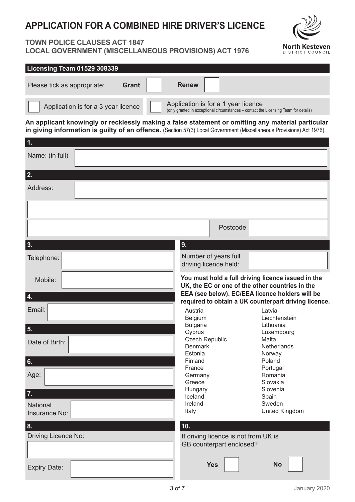# **APPLICATION FOR A COMBINED HIRE DRIVER'S LICENCE**

## **TOWN POLICE CLAUSES ACT 1847 LOCAL GOVERNMENT (MISCELLANEOUS PROVISIONS) ACT 1976**



| Licensing Team 01529 308339                                                                                                                                                                                               |                 |
|---------------------------------------------------------------------------------------------------------------------------------------------------------------------------------------------------------------------------|-----------------|
| <b>Renew</b><br><b>Grant</b><br>Please tick as appropriate:                                                                                                                                                               |                 |
| Application is for a 1 year licence<br>Application is for a 3 year licence<br>(only granted in exceptional circumstances – contact the Licensing Team for details)                                                        |                 |
| An applicant knowingly or recklessly making a false statement or omitting any material particular<br>in giving information is guilty of an offence. (Section 57(3) Local Government (Miscellaneous Provisions) Act 1976). |                 |
|                                                                                                                                                                                                                           | 1.              |
|                                                                                                                                                                                                                           | Name: (in full) |
|                                                                                                                                                                                                                           | 2.              |
|                                                                                                                                                                                                                           | Address:        |

|                                  | Postcode                                                                                                |  |
|----------------------------------|---------------------------------------------------------------------------------------------------------|--|
| 3.                               | 9.                                                                                                      |  |
| Telephone:                       | Number of years full<br>driving licence held:                                                           |  |
| Mobile:                          | You must hold a full driving licence issued in the<br>UK, the EC or one of the other countries in the   |  |
| 4.                               | EEA (see below). EC/EEA licence holders will be<br>required to obtain a UK counterpart driving licence. |  |
| Email:                           | Austria<br>Latvia<br>Liechtenstein<br>Belgium                                                           |  |
| 5.                               | <b>Bulgaria</b><br>Lithuania<br>Cyprus<br>Luxembourg                                                    |  |
| Date of Birth:                   | <b>Czech Republic</b><br>Malta<br><b>Denmark</b><br><b>Netherlands</b><br>Estonia<br>Norway             |  |
| 6.                               | Finland<br>Poland                                                                                       |  |
|                                  | France<br>Portugal                                                                                      |  |
| Age:                             | Romania<br>Germany<br>Greece<br>Slovakia                                                                |  |
| 7.                               | Slovenia<br>Hungary                                                                                     |  |
|                                  | Iceland<br>Spain                                                                                        |  |
| <b>National</b><br>Insurance No: | Ireland<br>Sweden<br>United Kingdom<br>Italy                                                            |  |
| 8.                               | 10.                                                                                                     |  |
| Driving Licence No:              | If driving licence is not from UK is<br>GB counterpart enclosed?                                        |  |
| <b>Expiry Date:</b>              | <b>No</b><br><b>Yes</b>                                                                                 |  |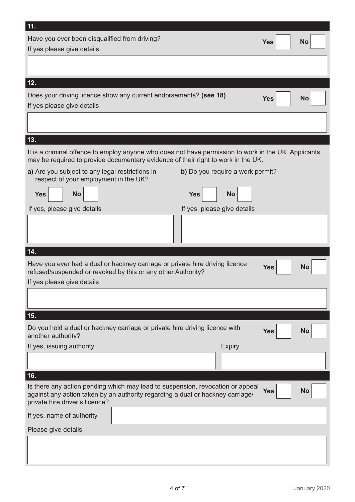| 11.                                                                                                                                                                                                |                                  |            |           |  |
|----------------------------------------------------------------------------------------------------------------------------------------------------------------------------------------------------|----------------------------------|------------|-----------|--|
| Have you ever been disqualified from driving?                                                                                                                                                      |                                  | <b>Yes</b> | <b>No</b> |  |
| If yes please give details                                                                                                                                                                         |                                  |            |           |  |
|                                                                                                                                                                                                    |                                  |            |           |  |
| 12.                                                                                                                                                                                                |                                  |            |           |  |
| Does your driving licence show any current endorsements? (see 18)                                                                                                                                  |                                  |            | <b>No</b> |  |
| If yes please give details                                                                                                                                                                         |                                  | <b>Yes</b> |           |  |
|                                                                                                                                                                                                    |                                  |            |           |  |
|                                                                                                                                                                                                    |                                  |            |           |  |
| 13.                                                                                                                                                                                                |                                  |            |           |  |
| It is a criminal offence to employ anyone who does not have permission to work in the UK. Applicants<br>may be required to provide documentary evidence of their right to work in the UK.          |                                  |            |           |  |
| a) Are you subject to any legal restrictions in                                                                                                                                                    | b) Do you require a work permit? |            |           |  |
| respect of your employment in the UK?                                                                                                                                                              |                                  |            |           |  |
| <b>No</b><br><b>Yes</b>                                                                                                                                                                            | <b>No</b><br><b>Yes</b>          |            |           |  |
| If yes, please give details                                                                                                                                                                        | If yes, please give details      |            |           |  |
|                                                                                                                                                                                                    |                                  |            |           |  |
|                                                                                                                                                                                                    |                                  |            |           |  |
|                                                                                                                                                                                                    |                                  |            |           |  |
| 14.                                                                                                                                                                                                |                                  |            |           |  |
| Have you ever had a dual or hackney carriage or private hire driving licence                                                                                                                       |                                  |            | <b>No</b> |  |
| refused/suspended or revoked by this or any other Authority?                                                                                                                                       |                                  | <b>Yes</b> |           |  |
| If yes please give details                                                                                                                                                                         |                                  |            |           |  |
|                                                                                                                                                                                                    |                                  |            |           |  |
| 15.                                                                                                                                                                                                |                                  |            |           |  |
| Do you hold a dual or hackney carriage or private hire driving licence with                                                                                                                        |                                  | <b>Yes</b> | <b>No</b> |  |
| another authority?                                                                                                                                                                                 |                                  |            |           |  |
| If yes, issuing authority                                                                                                                                                                          | <b>Expiry</b>                    |            |           |  |
|                                                                                                                                                                                                    |                                  |            |           |  |
| 16.                                                                                                                                                                                                |                                  |            |           |  |
| Is there any action pending which may lead to suspension, revocation or appeal<br>against any action taken by an authority regarding a dual or hackney carriage/<br>private hire driver's licence? |                                  | <b>Yes</b> | <b>No</b> |  |
| If yes, name of authority                                                                                                                                                                          |                                  |            |           |  |
| Please give details                                                                                                                                                                                |                                  |            |           |  |
|                                                                                                                                                                                                    |                                  |            |           |  |
|                                                                                                                                                                                                    |                                  |            |           |  |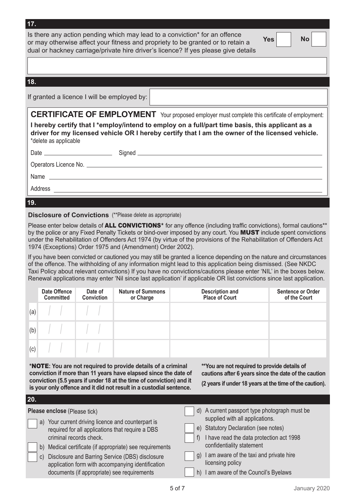|                       | Is there any action pending which may lead to a conviction* for an offence<br>Yes  <br>No.<br>or may otherwise affect your fitness and propriety to be granted or to retain a                                                                                         |
|-----------------------|-----------------------------------------------------------------------------------------------------------------------------------------------------------------------------------------------------------------------------------------------------------------------|
|                       | dual or hackney carriage/private hire driver's licence? If yes please give details                                                                                                                                                                                    |
|                       |                                                                                                                                                                                                                                                                       |
|                       |                                                                                                                                                                                                                                                                       |
| 18.                   |                                                                                                                                                                                                                                                                       |
|                       | If granted a licence I will be employed by:                                                                                                                                                                                                                           |
|                       | <b>CERTIFICATE OF EMPLOYMENT</b> Your proposed employer must complete this certificate of employment:                                                                                                                                                                 |
| *delete as applicable | I hereby certify that I *employ/intend to employ on a full/part time basis, this applicant as a<br>driver for my licensed vehicle OR I hereby certify that I am the owner of the licensed vehicle.                                                                    |
|                       |                                                                                                                                                                                                                                                                       |
|                       |                                                                                                                                                                                                                                                                       |
|                       |                                                                                                                                                                                                                                                                       |
|                       | Address experiences and the second service of the service of the service of the service of the service of the service of the service of the service of the service of the service of the service of the service of the service                                        |
| 19.                   |                                                                                                                                                                                                                                                                       |
|                       |                                                                                                                                                                                                                                                                       |
|                       | <b>Disclosure of Convictions</b> (**Please delete as appropriate)                                                                                                                                                                                                     |
|                       | Please enter below details of ALL CONVICTIONS <sup>*</sup> for any offence (including traffic convictions), formal cautions <sup>**</sup><br>by the police or any Fixed Penalty Tickets or bind-over imposed by any court. You <b>MIIST</b> include spent convictions |

by the police or any Fixed Penalty Tickets or bind-over imposed by any court. You MUST include spent convictions under the Rehabilitation of Offenders Act 1974 (by virtue of the provisions of the Rehabilitation of Offenders Act 1974 (Exceptions) Order 1975 and (Amendment) Order 2002).

If you have been convicted or cautioned you may still be granted a licence depending on the nature and circumstances of the offence. The withholding of any information might lead to this application being dismissed. (See NKDC Taxi Policy about relevant convictions) If you have no convictions/cautions please enter 'NIL' in the boxes below. Renewal applications may enter 'Nil since last application' if applicable OR list convictions since last application.

|     | Date Offence<br><b>Committed</b> | Date of<br><b>Conviction</b>                                                                      | <b>Nature of Summons</b><br>or Charge | <b>Description and<br/>Place of Court</b> | <b>Sentence or Order</b><br>of the Court |
|-----|----------------------------------|---------------------------------------------------------------------------------------------------|---------------------------------------|-------------------------------------------|------------------------------------------|
| (a) |                                  |                                                                                                   |                                       |                                           |                                          |
|     |                                  | $(b)$ $\left  \begin{array}{c} \end{array} \right $ $\left  \begin{array}{c} \end{array} \right $ |                                       |                                           |                                          |
|     |                                  | $(c)$ $\left  \begin{array}{c} \end{array} \right $                                               |                                       |                                           |                                          |

**\***NOTE**: You are not required to provide details of a criminal conviction if more than 11 years have elapsed since the date of conviction (5.5 years if under 18 at the time of conviction) and it is your only offence and it did not result in a custodial sentence.**

 **17.** 

**\*\*You are not required to provide details of cautions after 6 years since the date of the caution (2 years if under 18 years at the time of the caution).**

| 20.                                                                                                                                                                                                                                                                                                                                                                                           |                                                                                                                                                                                                                                                                                                                                          |
|-----------------------------------------------------------------------------------------------------------------------------------------------------------------------------------------------------------------------------------------------------------------------------------------------------------------------------------------------------------------------------------------------|------------------------------------------------------------------------------------------------------------------------------------------------------------------------------------------------------------------------------------------------------------------------------------------------------------------------------------------|
| Please enclose (Please tick)<br>a) Your current driving licence and counterpart is<br>required for all applications that require a DBS<br>criminal records check.<br>Medical certificate (if appropriate) see requirements<br>b)<br>Disclosure and Barring Service (DBS) disclosure<br>C)<br>application form with accompanying identification<br>documents (if appropriate) see requirements | A current passport type photograph must be<br>d)<br>supplied with all applications.<br>e) Statutory Declaration (see notes)<br>I have read the data protection act 1998<br>$\mathfrak{h}$<br>confidentiality statement<br>I am aware of the taxi and private hire<br>g)<br>licensing policy<br>I am aware of the Council's Byelaws<br>h) |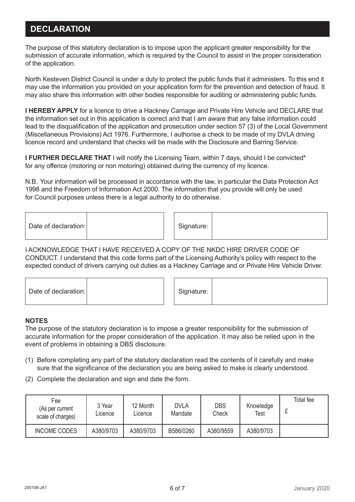# **DECLARATION**

The purpose of this statutory declaration is to impose upon the applicant greater responsibility for the submission of accurate information, which is required by the Council to assist in the proper consideration of the application.

North Kesteven District Council is under a duty to protect the public funds that it administers. To this end it may use the information you provided on your application form for the prevention and detection of fraud. It may also share this information with other bodies responsible for auditing or administering public funds.

**I HEREBY APPLY** for a licence to drive a Hackney Carriage and Private Hire Vehicle and DECLARE that the information set out in this application is correct and that I am aware that any false information could lead to the disqualification of the application and prosecution under section 57 (3) of the Local Government (Miscellaneous Provisions) Act 1976. Furthermore, I authorise a check to be made of my DVLA driving licence record and understand that checks will be made with the Disclosure and Barring Service.

**I FURTHER DECLARE THAT** I will notify the Licensing Team, within 7 days, should I be convicted<sup>\*</sup> for any offence (motoring or non motoring) obtained during the currency of my licence.

N.B. Your information will be processed in accordance with the law, in particular the Data Protection Act 1998 and the Freedom of Information Act 2000. The information that you provide will only be used for Council purposes unless there is a legal authority to do otherwise.

| Date of declaration: | Signature: |  |
|----------------------|------------|--|
|----------------------|------------|--|

I ACKNOWLEDGE THAT I HAVE RECEIVED A COPY OF THE NKDC HIRE DRIVER CODE OF CONDUCT. I understand that this code forms part of the Licensing Authority's policy with respect to the expected conduct of drivers carrying out duties as a Hackney Carriage and or Private Hire Vehicle Driver.

| Date of declaration: |  |  | Signature: |  |
|----------------------|--|--|------------|--|
|----------------------|--|--|------------|--|

#### **NOTES**

The purpose of the statutory declaration is to impose a greater responsibility for the submission of accurate information for the proper consideration of the application. It may also be relied upon in the event of problems in obtaining a DBS disclosure.

- (1) Before completing any part of the statutory declaration read the contents of it carefully and make sure that the significance of the declaration you are being asked to make is clearly understood.
- (2) Complete the declaration and sign and date the form.

| Fee<br>(As per current<br>scale of charges) | 3 Year<br>Licence | 12 Month<br>Licence | <b>DVLA</b><br>Mandate | <b>DBS</b><br>Check | Knowledge<br>Test | Total fee<br>∼ |
|---------------------------------------------|-------------------|---------------------|------------------------|---------------------|-------------------|----------------|
| <b>INCOME CODES</b>                         | A380/9703         | A380/9703           | B586/0260              | A380/9559           | A380/9703         |                |